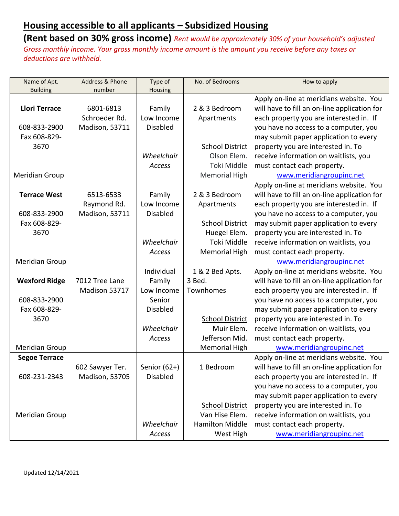| Name of Apt.          | Address & Phone       | Type of         | No. of Bedrooms        | How to apply                                 |
|-----------------------|-----------------------|-----------------|------------------------|----------------------------------------------|
| <b>Building</b>       | number                | Housing         |                        |                                              |
|                       |                       |                 |                        | Apply on-line at meridians website. You      |
| <b>Llori Terrace</b>  | 6801-6813             | Family          | 2 & 3 Bedroom          | will have to fill an on-line application for |
|                       | Schroeder Rd.         | Low Income      | Apartments             | each property you are interested in. If      |
| 608-833-2900          | Madison, 53711        | <b>Disabled</b> |                        | you have no access to a computer, you        |
| Fax 608-829-          |                       |                 |                        | may submit paper application to every        |
| 3670                  |                       |                 | <b>School District</b> | property you are interested in. To           |
|                       |                       | Wheelchair      | Olson Elem.            | receive information on waitlists, you        |
|                       |                       | Access          | Toki Middle            | must contact each property.                  |
| Meridian Group        |                       |                 | Memorial High          | www.meridiangroupinc.net                     |
|                       |                       |                 |                        | Apply on-line at meridians website. You      |
| <b>Terrace West</b>   | 6513-6533             | Family          | 2 & 3 Bedroom          | will have to fill an on-line application for |
|                       | Raymond Rd.           | Low Income      | Apartments             | each property you are interested in. If      |
| 608-833-2900          | Madison, 53711        | <b>Disabled</b> |                        | you have no access to a computer, you        |
| Fax 608-829-          |                       |                 | <b>School District</b> | may submit paper application to every        |
| 3670                  |                       |                 | Huegel Elem.           | property you are interested in. To           |
|                       |                       | Wheelchair      | Toki Middle            | receive information on waitlists, you        |
|                       |                       | Access          | <b>Memorial High</b>   | must contact each property.                  |
| Meridian Group        |                       |                 |                        | www.meridiangroupinc.net                     |
|                       |                       | Individual      | 1 & 2 Bed Apts.        | Apply on-line at meridians website. You      |
| <b>Wexford Ridge</b>  | 7012 Tree Lane        | Family          | 3 Bed.                 | will have to fill an on-line application for |
|                       | Madison 53717         | Low Income      | Townhomes              | each property you are interested in. If      |
| 608-833-2900          |                       | Senior          |                        | you have no access to a computer, you        |
| Fax 608-829-          |                       | <b>Disabled</b> |                        | may submit paper application to every        |
| 3670                  |                       |                 | <b>School District</b> | property you are interested in. To           |
|                       |                       | Wheelchair      | Muir Elem.             | receive information on waitlists, you        |
|                       |                       | Access          | Jefferson Mid.         | must contact each property.                  |
| <b>Meridian Group</b> |                       |                 | <b>Memorial High</b>   | www.meridiangroupinc.net                     |
| <b>Segoe Terrace</b>  |                       |                 |                        | Apply on-line at meridians website. You      |
|                       | 602 Sawyer Ter.       | Senior $(62+)$  | 1 Bedroom              | will have to fill an on-line application for |
| 608-231-2343          | <b>Madison, 53705</b> | <b>Disabled</b> |                        | each property you are interested in. If      |
|                       |                       |                 |                        | you have no access to a computer, you        |
|                       |                       |                 |                        | may submit paper application to every        |
|                       |                       |                 | <b>School District</b> | property you are interested in. To           |
| Meridian Group        |                       |                 | Van Hise Elem.         | receive information on waitlists, you        |
|                       |                       | Wheelchair      | <b>Hamilton Middle</b> | must contact each property.                  |
|                       |                       | Access          | West High              | www.meridiangroupinc.net                     |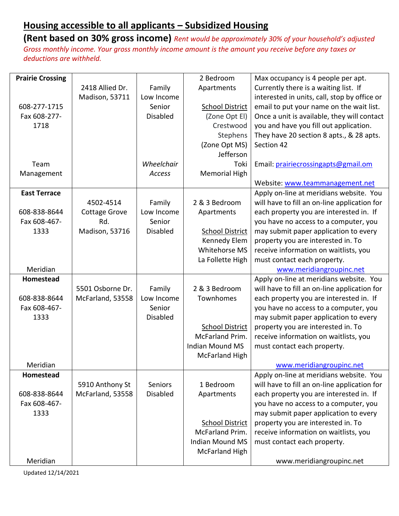**(Rent based on 30% gross income)** *Rent would be approximately 30% of your household's adjusted Gross monthly income. Your gross monthly income amount is the amount you receive before any taxes or deductions are withheld.*

| <b>Prairie Crossing</b> |                      |                 | 2 Bedroom              | Max occupancy is 4 people per apt.           |
|-------------------------|----------------------|-----------------|------------------------|----------------------------------------------|
|                         | 2418 Allied Dr.      | Family          | Apartments             | Currently there is a waiting list. If        |
|                         | Madison, 53711       | Low Income      |                        | interested in units, call, stop by office or |
| 608-277-1715            |                      | Senior          | <b>School District</b> | email to put your name on the wait list.     |
| Fax 608-277-            |                      | <b>Disabled</b> | (Zone Opt El)          | Once a unit is available, they will contact  |
| 1718                    |                      |                 | Crestwood              | you and have you fill out application.       |
|                         |                      |                 | Stephens               | They have 20 section 8 apts., & 28 apts.     |
|                         |                      |                 | (Zone Opt MS)          | Section 42                                   |
|                         |                      |                 | Jefferson              |                                              |
| Team                    |                      | Wheelchair      | Toki                   | Email: prairiecrossingapts@gmail.om          |
| Management              |                      | Access          | Memorial High          |                                              |
|                         |                      |                 |                        | Website: www.teammanagement.net              |
| <b>East Terrace</b>     |                      |                 |                        | Apply on-line at meridians website. You      |
|                         | 4502-4514            | Family          | 2 & 3 Bedroom          | will have to fill an on-line application for |
| 608-838-8644            | <b>Cottage Grove</b> | Low Income      | Apartments             | each property you are interested in. If      |
| Fax 608-467-            | Rd.                  | Senior          |                        | you have no access to a computer, you        |
| 1333                    | Madison, 53716       | <b>Disabled</b> | <b>School District</b> | may submit paper application to every        |
|                         |                      |                 | Kennedy Elem           | property you are interested in. To           |
|                         |                      |                 | Whitehorse MS          | receive information on waitlists, you        |
|                         |                      |                 | La Follette High       | must contact each property.                  |
| Meridian                |                      |                 |                        | www.meridiangroupinc.net                     |
| Homestead               |                      |                 |                        | Apply on-line at meridians website. You      |
|                         | 5501 Osborne Dr.     | Family          | 2 & 3 Bedroom          | will have to fill an on-line application for |
| 608-838-8644            | McFarland, 53558     | Low Income      | Townhomes              | each property you are interested in. If      |
| Fax 608-467-            |                      | Senior          |                        | you have no access to a computer, you        |
| 1333                    |                      | <b>Disabled</b> |                        | may submit paper application to every        |
|                         |                      |                 | <b>School District</b> | property you are interested in. To           |
|                         |                      |                 | McFarland Prim.        | receive information on waitlists, you        |
|                         |                      |                 | <b>Indian Mound MS</b> | must contact each property.                  |
|                         |                      |                 | <b>McFarland High</b>  |                                              |
| Meridian                |                      |                 |                        | www.meridiangroupinc.net                     |
| Homestead               |                      |                 |                        | Apply on-line at meridians website. You      |
|                         | 5910 Anthony St      | <b>Seniors</b>  | 1 Bedroom              | will have to fill an on-line application for |
| 608-838-8644            | McFarland, 53558     | <b>Disabled</b> | Apartments             | each property you are interested in. If      |
| Fax 608-467-            |                      |                 |                        | you have no access to a computer, you        |
| 1333                    |                      |                 |                        | may submit paper application to every        |
|                         |                      |                 | <b>School District</b> | property you are interested in. To           |
|                         |                      |                 | McFarland Prim.        | receive information on waitlists, you        |
|                         |                      |                 | <b>Indian Mound MS</b> | must contact each property.                  |
|                         |                      |                 | <b>McFarland High</b>  |                                              |
| Meridian                |                      |                 |                        | www.meridiangroupinc.net                     |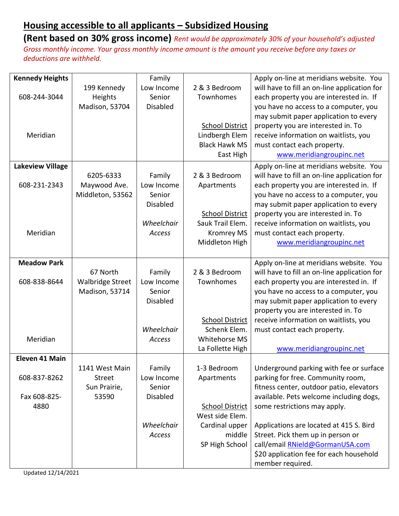| <b>Kennedy Heights</b>  |                         | Family          |                        | Apply on-line at meridians website. You      |
|-------------------------|-------------------------|-----------------|------------------------|----------------------------------------------|
|                         | 199 Kennedy             | Low Income      | 2 & 3 Bedroom          | will have to fill an on-line application for |
| 608-244-3044            | Heights                 | Senior          | Townhomes              | each property you are interested in. If      |
|                         | Madison, 53704          | <b>Disabled</b> |                        | you have no access to a computer, you        |
|                         |                         |                 |                        | may submit paper application to every        |
|                         |                         |                 | <b>School District</b> | property you are interested in. To           |
| Meridian                |                         |                 | Lindbergh Elem         | receive information on waitlists, you        |
|                         |                         |                 | <b>Black Hawk MS</b>   | must contact each property.                  |
|                         |                         |                 | East High              | www.meridiangroupinc.net                     |
| <b>Lakeview Village</b> |                         |                 |                        | Apply on-line at meridians website. You      |
|                         | 6205-6333               | Family          | 2 & 3 Bedroom          | will have to fill an on-line application for |
| 608-231-2343            | Maywood Ave.            | Low Income      | Apartments             | each property you are interested in. If      |
|                         | Middleton, 53562        | Senior          |                        | you have no access to a computer, you        |
|                         |                         | <b>Disabled</b> |                        | may submit paper application to every        |
|                         |                         |                 | <b>School District</b> | property you are interested in. To           |
|                         |                         | Wheelchair      | Sauk Trail Elem.       | receive information on waitlists, you        |
| Meridian                |                         | Access          | <b>Kromrey MS</b>      | must contact each property.                  |
|                         |                         |                 | Middleton High         | www.meridiangroupinc.net                     |
|                         |                         |                 |                        |                                              |
| <b>Meadow Park</b>      |                         |                 |                        | Apply on-line at meridians website. You      |
|                         | 67 North                | Family          | 2 & 3 Bedroom          | will have to fill an on-line application for |
| 608-838-8644            | <b>Walbridge Street</b> | Low Income      | Townhomes              | each property you are interested in. If      |
|                         | Madison, 53714          | Senior          |                        | you have no access to a computer, you        |
|                         |                         | <b>Disabled</b> |                        | may submit paper application to every        |
|                         |                         |                 |                        | property you are interested in. To           |
|                         |                         |                 | <b>School District</b> | receive information on waitlists, you        |
|                         |                         | Wheelchair      | Schenk Elem.           | must contact each property.                  |
| Meridian                |                         | Access          | <b>Whitehorse MS</b>   |                                              |
|                         |                         |                 | La Follette High       | www.meridiangroupinc.net                     |
| Eleven 41 Main          |                         |                 |                        |                                              |
|                         | 1141 West Main          | Family          | 1-3 Bedroom            | Underground parking with fee or surface      |
| 608-837-8262            | Street                  | Low Income      | Apartments             | parking for free. Community room,            |
|                         | Sun Prairie,            | Senior          |                        | fitness center, outdoor patio, elevators     |
| Fax 608-825-            | 53590                   | <b>Disabled</b> |                        | available. Pets welcome including dogs,      |
| 4880                    |                         |                 | <b>School District</b> | some restrictions may apply.                 |
|                         |                         |                 | West side Elem.        |                                              |
|                         |                         | Wheelchair      | Cardinal upper         | Applications are located at 415 S. Bird      |
|                         |                         | Access          | middle                 | Street. Pick them up in person or            |
|                         |                         |                 | SP High School         | call/email RNield@GormanUSA.com              |
|                         |                         |                 |                        | \$20 application fee for each household      |
|                         |                         |                 |                        | member required.                             |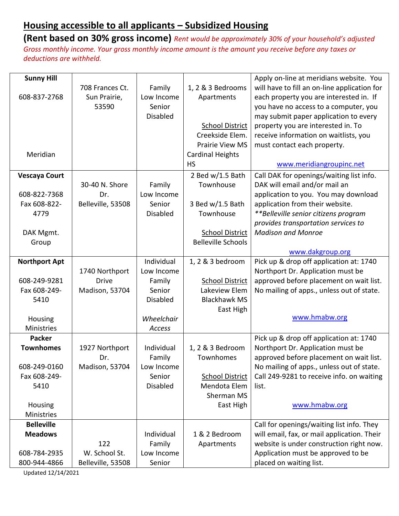**(Rent based on 30% gross income)** *Rent would be approximately 30% of your household's adjusted Gross monthly income. Your gross monthly income amount is the amount you receive before any taxes or deductions are withheld.*

| <b>Sunny Hill</b>    |                   |                 |                           | Apply on-line at meridians website. You      |
|----------------------|-------------------|-----------------|---------------------------|----------------------------------------------|
|                      | 708 Frances Ct.   | Family          | 1, 2 & 3 Bedrooms         | will have to fill an on-line application for |
| 608-837-2768         | Sun Prairie,      | Low Income      | Apartments                | each property you are interested in. If      |
|                      | 53590             | Senior          |                           | you have no access to a computer, you        |
|                      |                   | <b>Disabled</b> |                           | may submit paper application to every        |
|                      |                   |                 | <b>School District</b>    | property you are interested in. To           |
|                      |                   |                 | Creekside Elem.           | receive information on waitlists, you        |
|                      |                   |                 | <b>Prairie View MS</b>    | must contact each property.                  |
| Meridian             |                   |                 | <b>Cardinal Heights</b>   |                                              |
|                      |                   |                 | <b>HS</b>                 | www.meridiangroupinc.net                     |
| <b>Vescaya Court</b> |                   |                 | 2 Bed w/1.5 Bath          | Call DAK for openings/waiting list info.     |
|                      | 30-40 N. Shore    | Family          | Townhouse                 | DAK will email and/or mail an                |
| 608-822-7368         | Dr.               | Low Income      |                           | application to you. You may download         |
| Fax 608-822-         | Belleville, 53508 | Senior          | 3 Bed w/1.5 Bath          | application from their website.              |
| 4779                 |                   | <b>Disabled</b> | Townhouse                 | **Belleville senior citizens program         |
|                      |                   |                 |                           | provides transportation services to          |
| DAK Mgmt.            |                   |                 | <b>School District</b>    | <b>Madison and Monroe</b>                    |
| Group                |                   |                 | <b>Belleville Schools</b> |                                              |
|                      |                   |                 |                           | www.dakgroup.org                             |
| <b>Northport Apt</b> |                   | Individual      | 1, 2 & 3 bedroom          | Pick up & drop off application at: 1740      |
|                      | 1740 Northport    | Low Income      |                           | Northport Dr. Application must be            |
| 608-249-9281         | <b>Drive</b>      | Family          | <b>School District</b>    | approved before placement on wait list.      |
| Fax 608-249-         | Madison, 53704    | Senior          | Lakeview Elem             | No mailing of apps., unless out of state.    |
| 5410                 |                   | Disabled        | <b>Blackhawk MS</b>       |                                              |
|                      |                   |                 | East High                 |                                              |
| Housing              |                   | Wheelchair      |                           | www.hmabw.org                                |
| <b>Ministries</b>    |                   | Access          |                           |                                              |
| <b>Packer</b>        |                   |                 |                           | Pick up & drop off application at: 1740      |
| <b>Townhomes</b>     | 1927 Northport    | Individual      | 1, 2 & 3 Bedroom          | Northport Dr. Application must be            |
|                      | Dr.               | Family          | Townhomes                 | approved before placement on wait list.      |
| 608-249-0160         | Madison, 53704    | Low Income      |                           | No mailing of apps., unless out of state.    |
| Fax 608-249-         |                   | Senior          | <b>School District</b>    | Call 249-9281 to receive info. on waiting    |
| 5410                 |                   | <b>Disabled</b> | Mendota Elem              | list.                                        |
|                      |                   |                 | Sherman MS                |                                              |
| Housing              |                   |                 | East High                 | www.hmabw.org                                |
| <b>Ministries</b>    |                   |                 |                           |                                              |
| <b>Belleville</b>    |                   |                 |                           | Call for openings/waiting list info. They    |
| <b>Meadows</b>       |                   | Individual      | 1 & 2 Bedroom             | will email, fax, or mail application. Their  |
|                      | 122               | Family          | Apartments                | website is under construction right now.     |
| 608-784-2935         | W. School St.     | Low Income      |                           | Application must be approved to be           |
| 800-944-4866         | Belleville, 53508 | Senior          |                           | placed on waiting list.                      |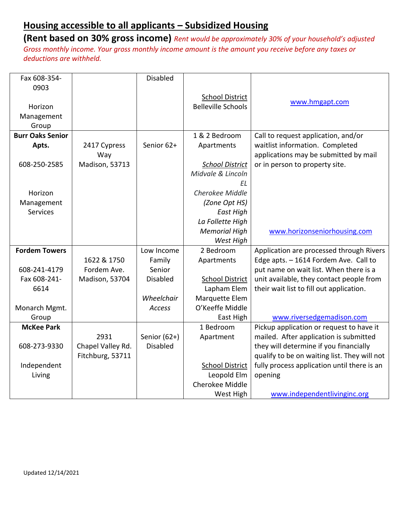| Fax 608-354-            |                   | <b>Disabled</b> |                           |                                              |
|-------------------------|-------------------|-----------------|---------------------------|----------------------------------------------|
| 0903                    |                   |                 |                           |                                              |
|                         |                   |                 | <b>School District</b>    |                                              |
| Horizon                 |                   |                 | <b>Belleville Schools</b> | www.hmgapt.com                               |
| Management              |                   |                 |                           |                                              |
| Group                   |                   |                 |                           |                                              |
| <b>Burr Oaks Senior</b> |                   |                 | 1 & 2 Bedroom             | Call to request application, and/or          |
| Apts.                   | 2417 Cypress      | Senior 62+      | Apartments                | waitlist information. Completed              |
|                         | Way               |                 |                           | applications may be submitted by mail        |
| 608-250-2585            | Madison, 53713    |                 | <b>School District</b>    | or in person to property site.               |
|                         |                   |                 | Midvale & Lincoln         |                                              |
|                         |                   |                 | ΕL                        |                                              |
| Horizon                 |                   |                 | Cherokee Middle           |                                              |
| Management              |                   |                 | (Zone Opt HS)             |                                              |
| <b>Services</b>         |                   |                 | East High                 |                                              |
|                         |                   |                 | La Follette High          |                                              |
|                         |                   |                 | <b>Memorial High</b>      | www.horizonseniorhousing.com                 |
|                         |                   |                 | West High                 |                                              |
| <b>Fordem Towers</b>    |                   | Low Income      | 2 Bedroom                 | Application are processed through Rivers     |
|                         | 1622 & 1750       | Family          | Apartments                | Edge apts. - 1614 Fordem Ave. Call to        |
| 608-241-4179            | Fordem Ave.       | Senior          |                           | put name on wait list. When there is a       |
| Fax 608-241-            | Madison, 53704    | <b>Disabled</b> | <b>School District</b>    | unit available, they contact people from     |
| 6614                    |                   |                 | Lapham Elem               | their wait list to fill out application.     |
|                         |                   | Wheelchair      | Marquette Elem            |                                              |
| Monarch Mgmt.           |                   | Access          | O'Keeffe Middle           |                                              |
| Group                   |                   |                 | East High                 | www.riversedgemadison.com                    |
| <b>McKee Park</b>       |                   |                 | 1 Bedroom                 | Pickup application or request to have it     |
|                         | 2931              | Senior $(62+)$  | Apartment                 | mailed. After application is submitted       |
| 608-273-9330            | Chapel Valley Rd. | <b>Disabled</b> |                           | they will determine if you financially       |
|                         | Fitchburg, 53711  |                 |                           | qualify to be on waiting list. They will not |
| Independent             |                   |                 | <b>School District</b>    | fully process application until there is an  |
| Living                  |                   |                 | Leopold Elm               | opening                                      |
|                         |                   |                 | Cherokee Middle           |                                              |
|                         |                   |                 | West High                 | www.independentlivinginc.org                 |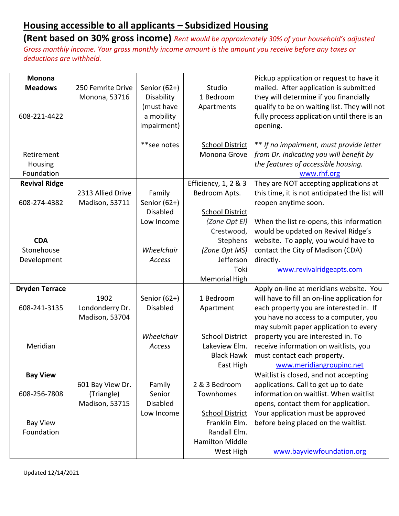| <b>Monona</b>                 |                   |                 |                                         | Pickup application or request to have it                                       |
|-------------------------------|-------------------|-----------------|-----------------------------------------|--------------------------------------------------------------------------------|
| <b>Meadows</b>                | 250 Femrite Drive | Senior $(62+)$  | Studio                                  | mailed. After application is submitted                                         |
|                               | Monona, 53716     | Disability      | 1 Bedroom                               | they will determine if you financially                                         |
|                               |                   | (must have      | Apartments                              | qualify to be on waiting list. They will not                                   |
| 608-221-4422                  |                   | a mobility      |                                         | fully process application until there is an                                    |
|                               |                   | impairment)     |                                         | opening.                                                                       |
|                               |                   |                 |                                         |                                                                                |
|                               |                   | **see notes     | <b>School District</b>                  | ** If no impairment, must provide letter                                       |
| Retirement                    |                   |                 | Monona Grove                            | from Dr. indicating you will benefit by                                        |
| Housing                       |                   |                 |                                         | the features of accessible housing.                                            |
| Foundation                    |                   |                 |                                         | www.rhf.org                                                                    |
| <b>Revival Ridge</b>          |                   |                 | Efficiency, 1, 2 & 3                    | They are NOT accepting applications at                                         |
|                               | 2313 Allied Drive | Family          | Bedroom Apts.                           | this time, it is not anticipated the list will                                 |
| 608-274-4382                  | Madison, 53711    | Senior $(62+)$  |                                         | reopen anytime soon.                                                           |
|                               |                   | <b>Disabled</b> | <b>School District</b>                  |                                                                                |
|                               |                   | Low Income      | (Zone Opt El)                           | When the list re-opens, this information                                       |
|                               |                   |                 | Crestwood,                              | would be updated on Revival Ridge's                                            |
| <b>CDA</b>                    |                   |                 | Stephens                                | website. To apply, you would have to                                           |
| Stonehouse                    |                   | Wheelchair      | (Zone Opt MS)                           | contact the City of Madison (CDA)                                              |
| Development                   |                   | Access          | Jefferson                               | directly.                                                                      |
|                               |                   |                 | Toki                                    | www.revivalridgeapts.com                                                       |
|                               |                   |                 | <b>Memorial High</b>                    |                                                                                |
| <b>Dryden Terrace</b>         |                   |                 |                                         | Apply on-line at meridians website. You                                        |
|                               | 1902              | Senior $(62+)$  | 1 Bedroom                               | will have to fill an on-line application for                                   |
| 608-241-3135                  | Londonderry Dr.   | <b>Disabled</b> | Apartment                               | each property you are interested in. If                                        |
|                               | Madison, 53704    |                 |                                         | you have no access to a computer, you                                          |
|                               |                   |                 |                                         | may submit paper application to every                                          |
|                               |                   | Wheelchair      | <b>School District</b>                  | property you are interested in. To                                             |
| Meridian                      |                   | Access          | Lakeview Elm.                           | receive information on waitlists, you                                          |
|                               |                   |                 | <b>Black Hawk</b>                       | must contact each property.                                                    |
|                               |                   |                 | East High                               | www.meridiangroupinc.net                                                       |
| <b>Bay View</b>               |                   |                 |                                         | Waitlist is closed, and not accepting                                          |
|                               | 601 Bay View Dr.  | Family          | 2 & 3 Bedroom                           | applications. Call to get up to date<br>information on waitlist. When waitlist |
| 608-256-7808                  | (Triangle)        | Senior          | Townhomes                               |                                                                                |
|                               | Madison, 53715    | Disabled        |                                         | opens, contact them for application.                                           |
|                               |                   | Low Income      | <b>School District</b><br>Franklin Elm. | Your application must be approved                                              |
| <b>Bay View</b><br>Foundation |                   |                 | Randall Elm.                            | before being placed on the waitlist.                                           |
|                               |                   |                 | <b>Hamilton Middle</b>                  |                                                                                |
|                               |                   |                 |                                         |                                                                                |
|                               |                   |                 | West High                               | www.bayviewfoundation.org                                                      |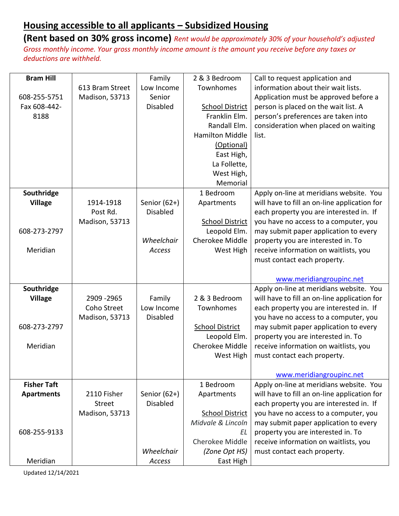**(Rent based on 30% gross income)** *Rent would be approximately 30% of your household's adjusted Gross monthly income. Your gross monthly income amount is the amount you receive before any taxes or deductions are withheld.*

| <b>Bram Hill</b>   |                 | Family               | 2 & 3 Bedroom          | Call to request application and              |
|--------------------|-----------------|----------------------|------------------------|----------------------------------------------|
|                    | 613 Bram Street | Low Income           | Townhomes              | information about their wait lists.          |
| 608-255-5751       | Madison, 53713  | Senior               |                        | Application must be approved before a        |
| Fax 608-442-       |                 | <b>Disabled</b>      | <b>School District</b> | person is placed on the wait list. A         |
| 8188               |                 |                      | Franklin Elm.          | person's preferences are taken into          |
|                    |                 |                      | Randall Elm.           | consideration when placed on waiting         |
|                    |                 |                      | <b>Hamilton Middle</b> | list.                                        |
|                    |                 |                      | (Optional)             |                                              |
|                    |                 |                      | East High,             |                                              |
|                    |                 |                      | La Follette,           |                                              |
|                    |                 |                      | West High,             |                                              |
|                    |                 |                      | Memorial               |                                              |
| Southridge         |                 |                      | 1 Bedroom              | Apply on-line at meridians website. You      |
| <b>Village</b>     | 1914-1918       | Senior $(62+)$       | Apartments             | will have to fill an on-line application for |
|                    | Post Rd.        | <b>Disabled</b>      |                        | each property you are interested in. If      |
|                    | Madison, 53713  |                      | <b>School District</b> | you have no access to a computer, you        |
| 608-273-2797       |                 |                      | Leopold Elm.           | may submit paper application to every        |
|                    |                 | Wheelchair           | Cherokee Middle        | property you are interested in. To           |
| Meridian           |                 | <b>Access</b>        | West High              | receive information on waitlists, you        |
|                    |                 |                      |                        | must contact each property.                  |
|                    |                 |                      |                        |                                              |
|                    |                 |                      |                        | www.meridiangroupinc.net                     |
| Southridge         |                 |                      |                        | Apply on-line at meridians website. You      |
| <b>Village</b>     | 2909 - 2965     | Family               | 2 & 3 Bedroom          | will have to fill an on-line application for |
|                    | Coho Street     | Low Income           | Townhomes              | each property you are interested in. If      |
|                    | Madison, 53713  | <b>Disabled</b>      |                        | you have no access to a computer, you        |
| 608-273-2797       |                 |                      | <b>School District</b> | may submit paper application to every        |
|                    |                 |                      | Leopold Elm.           | property you are interested in. To           |
| Meridian           |                 |                      | Cherokee Middle        | receive information on waitlists, you        |
|                    |                 |                      | West High              | must contact each property.                  |
|                    |                 |                      |                        |                                              |
|                    |                 |                      |                        | www.meridiangroupinc.net                     |
| <b>Fisher Taft</b> |                 |                      | 1 Bedroom              | Apply on-line at meridians website. You      |
| <b>Apartments</b>  | 2110 Fisher     | Senior $(62+)$       | Apartments             | will have to fill an on-line application for |
|                    | <b>Street</b>   | <b>Disabled</b>      |                        | each property you are interested in. If      |
|                    | Madison, 53713  |                      | <b>School District</b> | you have no access to a computer, you        |
|                    |                 |                      | Midvale & Lincoln      | may submit paper application to every        |
| 608-255-9133       |                 |                      | ΕL                     | property you are interested in. To           |
|                    |                 |                      | Cherokee Middle        | receive information on waitlists, you        |
| Meridian           |                 | Wheelchair<br>Access | (Zone Opt HS)          | must contact each property.                  |
|                    |                 |                      | East High              |                                              |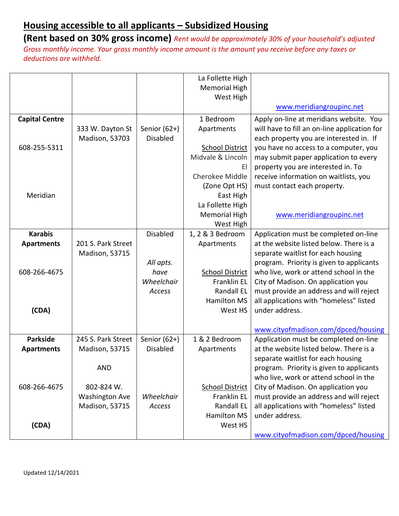|                       |                       |                 | La Follette High       |                                              |
|-----------------------|-----------------------|-----------------|------------------------|----------------------------------------------|
|                       |                       |                 | <b>Memorial High</b>   |                                              |
|                       |                       |                 | West High              |                                              |
|                       |                       |                 |                        | www.meridiangroupinc.net                     |
| <b>Capital Centre</b> |                       |                 | 1 Bedroom              | Apply on-line at meridians website. You      |
|                       | 333 W. Dayton St      | Senior (62+)    | Apartments             | will have to fill an on-line application for |
|                       | Madison, 53703        | <b>Disabled</b> |                        | each property you are interested in. If      |
| 608-255-5311          |                       |                 | <b>School District</b> | you have no access to a computer, you        |
|                       |                       |                 | Midvale & Lincoln      | may submit paper application to every        |
|                       |                       |                 | EI                     | property you are interested in. To           |
|                       |                       |                 | Cherokee Middle        | receive information on waitlists, you        |
|                       |                       |                 | (Zone Opt HS)          | must contact each property.                  |
| Meridian              |                       |                 | East High              |                                              |
|                       |                       |                 | La Follette High       |                                              |
|                       |                       |                 | <b>Memorial High</b>   | www.meridiangroupinc.net                     |
|                       |                       |                 | West High              |                                              |
| <b>Karabis</b>        |                       | <b>Disabled</b> | 1, 2 & 3 Bedroom       | Application must be completed on-line        |
| <b>Apartments</b>     | 201 S. Park Street    |                 | Apartments             | at the website listed below. There is a      |
|                       | <b>Madison, 53715</b> |                 |                        | separate waitlist for each housing           |
|                       |                       | All apts.       |                        | program. Priority is given to applicants     |
| 608-266-4675          |                       | have            | <b>School District</b> | who live, work or attend school in the       |
|                       |                       | Wheelchair      | Franklin EL            | City of Madison. On application you          |
|                       |                       | Access          | Randall EL             | must provide an address and will reject      |
|                       |                       |                 | <b>Hamilton MS</b>     | all applications with "homeless" listed      |
| (CDA)                 |                       |                 | West HS                | under address.                               |
|                       |                       |                 |                        |                                              |
|                       |                       |                 |                        | www.cityofmadison.com/dpced/housing          |
| <b>Parkside</b>       | 245 S. Park Street    | Senior $(62+)$  | 1 & 2 Bedroom          | Application must be completed on-line        |
| <b>Apartments</b>     | <b>Madison, 53715</b> | <b>Disabled</b> | Apartments             | at the website listed below. There is a      |
|                       |                       |                 |                        | separate waitlist for each housing           |
|                       | <b>AND</b>            |                 |                        | program. Priority is given to applicants     |
|                       |                       |                 |                        | who live, work or attend school in the       |
| 608-266-4675          | 802-824 W.            |                 | <b>School District</b> | City of Madison. On application you          |
|                       | <b>Washington Ave</b> | Wheelchair      | Franklin EL            | must provide an address and will reject      |
|                       | Madison, 53715        | Access          | <b>Randall EL</b>      | all applications with "homeless" listed      |
|                       |                       |                 | <b>Hamilton MS</b>     | under address.                               |
| (CDA)                 |                       |                 | West HS                |                                              |
|                       |                       |                 |                        | www.cityofmadison.com/dpced/housing          |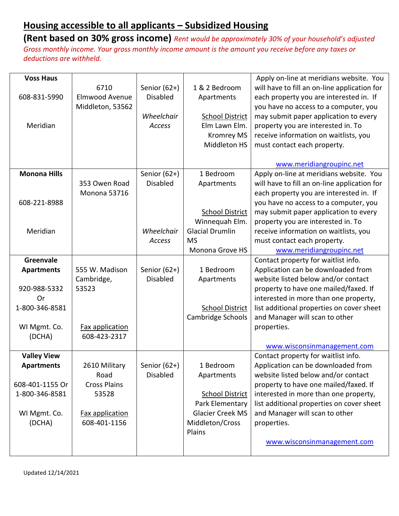| <b>Voss Haus</b>    |                                 |                 |                           | Apply on-line at meridians website. You      |
|---------------------|---------------------------------|-----------------|---------------------------|----------------------------------------------|
|                     | 6710                            | Senior (62+)    | 1 & 2 Bedroom             | will have to fill an on-line application for |
| 608-831-5990        | Elmwood Avenue                  | <b>Disabled</b> | Apartments                | each property you are interested in. If      |
|                     | Middleton, 53562                |                 |                           | you have no access to a computer, you        |
|                     |                                 | Wheelchair      | <b>School District</b>    | may submit paper application to every        |
| Meridian            |                                 | Access          | Elm Lawn Elm.             | property you are interested in. To           |
|                     |                                 |                 | <b>Kromrey MS</b>         | receive information on waitlists, you        |
|                     |                                 |                 | Middleton HS              | must contact each property.                  |
|                     |                                 |                 |                           |                                              |
|                     |                                 |                 |                           | www.meridiangroupinc.net                     |
| <b>Monona Hills</b> |                                 | Senior $(62+)$  | 1 Bedroom                 | Apply on-line at meridians website. You      |
|                     | 353 Owen Road                   | <b>Disabled</b> | Apartments                | will have to fill an on-line application for |
|                     | Monona 53716                    |                 |                           | each property you are interested in. If      |
| 608-221-8988        |                                 |                 |                           | you have no access to a computer, you        |
|                     |                                 |                 | <b>School District</b>    | may submit paper application to every        |
|                     |                                 |                 | Winnequah Elm.            | property you are interested in. To           |
| Meridian            |                                 | Wheelchair      | <b>Glacial Drumlin</b>    | receive information on waitlists, you        |
|                     |                                 | Access          | <b>MS</b>                 | must contact each property.                  |
|                     |                                 |                 | Monona Grove HS           | www.meridiangroupinc.net                     |
| Greenvale           |                                 |                 |                           | Contact property for waitlist info.          |
| <b>Apartments</b>   | 555 W. Madison                  | Senior (62+)    | 1 Bedroom                 | Application can be downloaded from           |
|                     | Cambridge,                      | <b>Disabled</b> | Apartments                | website listed below and/or contact          |
| 920-988-5332        | 53523                           |                 |                           | property to have one mailed/faxed. If        |
| Or                  |                                 |                 |                           | interested in more than one property,        |
| 1-800-346-8581      |                                 |                 | <b>School District</b>    | list additional properties on cover sheet    |
|                     |                                 |                 | Cambridge Schools         | and Manager will scan to other               |
| WI Mgmt. Co.        | Fax application                 |                 |                           | properties.                                  |
| (DCHA)              | 608-423-2317                    |                 |                           |                                              |
|                     |                                 |                 |                           | www.wisconsinmanagement.com                  |
| <b>Valley View</b>  |                                 |                 |                           | Contact property for waitlist info.          |
| <b>Apartments</b>   | 2610 Military                   | Senior $(62+)$  | 1 Bedroom                 | Application can be downloaded from           |
|                     | Road                            | <b>Disabled</b> | Apartments                | website listed below and/or contact          |
| 608-401-1155 Or     | <b>Cross Plains</b>             |                 |                           | property to have one mailed/faxed. If        |
| 1-800-346-8581      | 53528                           |                 | <b>School District</b>    | interested in more than one property,        |
|                     |                                 |                 | Park Elementary           | list additional properties on cover sheet    |
| WI Mgmt. Co.        | Fax application<br>608-401-1156 |                 | <b>Glacier Creek MS</b>   | and Manager will scan to other               |
| (DCHA)              |                                 |                 | Middleton/Cross<br>Plains | properties.                                  |
|                     |                                 |                 |                           | www.wisconsinmanagement.com                  |
|                     |                                 |                 |                           |                                              |
|                     |                                 |                 |                           |                                              |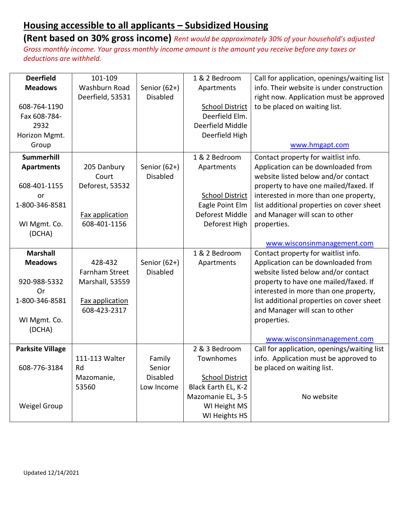| <b>Deerfield</b>        | 101-109               |                 | 1 & 2 Bedroom          | Call for application, openings/waiting list |
|-------------------------|-----------------------|-----------------|------------------------|---------------------------------------------|
| <b>Meadows</b>          | Washburn Road         | Senior $(62+)$  | Apartments             | info. Their website is under construction   |
|                         | Deerfield, 53531      | <b>Disabled</b> |                        | right now. Application must be approved     |
| 608-764-1190            |                       |                 | <b>School District</b> | to be placed on waiting list.               |
| Fax 608-784-            |                       |                 | Deerfield Elm.         |                                             |
| 2932                    |                       |                 | Deerfield Middle       |                                             |
| Horizon Mgmt.           |                       |                 | Deerfield High         |                                             |
| Group                   |                       |                 |                        | www.hmgapt.com                              |
| <b>Summerhill</b>       |                       |                 | 1 & 2 Bedroom          | Contact property for waitlist info.         |
| <b>Apartments</b>       | 205 Danbury           | Senior $(62+)$  | Apartments             | Application can be downloaded from          |
|                         | Court                 | <b>Disabled</b> |                        | website listed below and/or contact         |
| 608-401-1155            | Deforest, 53532       |                 |                        | property to have one mailed/faxed. If       |
| or                      |                       |                 | <b>School District</b> | interested in more than one property,       |
| 1-800-346-8581          |                       |                 | Eagle Point Elm        | list additional properties on cover sheet   |
|                         | Fax application       |                 | Deforest Middle        | and Manager will scan to other              |
| WI Mgmt. Co.            | 608-401-1156          |                 | Deforest High          | properties.                                 |
| (DCHA)                  |                       |                 |                        |                                             |
|                         |                       |                 |                        | www.wisconsinmanagement.com                 |
| <b>Marshall</b>         |                       |                 | 1 & 2 Bedroom          | Contact property for waitlist info.         |
| <b>Meadows</b>          | 428-432               | Senior $(62+)$  | Apartments             | Application can be downloaded from          |
|                         | <b>Farnham Street</b> | <b>Disabled</b> |                        | website listed below and/or contact         |
| 920-988-5332            | Marshall, 53559       |                 |                        | property to have one mailed/faxed. If       |
| Or                      |                       |                 |                        | interested in more than one property,       |
| 1-800-346-8581          | Fax application       |                 |                        | list additional properties on cover sheet   |
|                         | 608-423-2317          |                 |                        | and Manager will scan to other              |
| WI Mgmt. Co.            |                       |                 |                        | properties.                                 |
| (DCHA)                  |                       |                 |                        |                                             |
|                         |                       |                 |                        | www.wisconsinmanagement.com                 |
| <b>Parksite Village</b> |                       |                 | 2 & 3 Bedroom          | Call for application, openings/waiting list |
|                         | 111-113 Walter        | Family          | Townhomes              | info. Application must be approved to       |
| 608-776-3184            | Rd                    | Senior          |                        | be placed on waiting list.                  |
|                         | Mazomanie,            | <b>Disabled</b> | <b>School District</b> |                                             |
|                         | 53560                 | Low Income      | Black Earth EL, K-2    |                                             |
|                         |                       |                 |                        |                                             |
|                         |                       |                 | Mazomanie EL, 3-5      | No website                                  |
| <b>Weigel Group</b>     |                       |                 | WI Height MS           |                                             |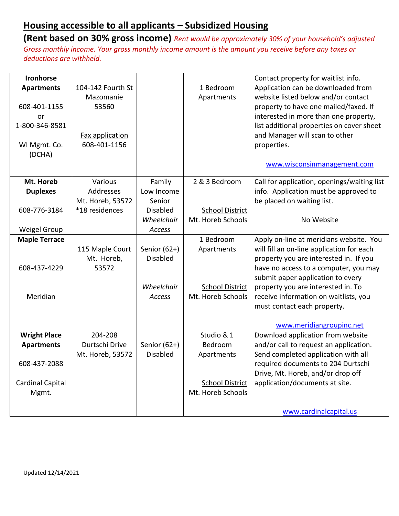| <b>Ironhorse</b>        |                   |                 |                        | Contact property for waitlist info.         |
|-------------------------|-------------------|-----------------|------------------------|---------------------------------------------|
| <b>Apartments</b>       | 104-142 Fourth St |                 | 1 Bedroom              | Application can be downloaded from          |
|                         | Mazomanie         |                 | Apartments             | website listed below and/or contact         |
| 608-401-1155            | 53560             |                 |                        | property to have one mailed/faxed. If       |
| or                      |                   |                 |                        | interested in more than one property,       |
| 1-800-346-8581          |                   |                 |                        | list additional properties on cover sheet   |
|                         | Fax application   |                 |                        | and Manager will scan to other              |
| WI Mgmt. Co.            | 608-401-1156      |                 |                        | properties.                                 |
| (DCHA)                  |                   |                 |                        |                                             |
|                         |                   |                 |                        |                                             |
|                         |                   |                 |                        | www.wisconsinmanagement.com                 |
| Mt. Horeb               | Various           | Family          | 2 & 3 Bedroom          | Call for application, openings/waiting list |
| <b>Duplexes</b>         | Addresses         | Low Income      |                        | info. Application must be approved to       |
|                         | Mt. Horeb, 53572  | Senior          |                        | be placed on waiting list.                  |
| 608-776-3184            | *18 residences    | <b>Disabled</b> | <b>School District</b> |                                             |
|                         |                   | Wheelchair      | Mt. Horeb Schools      | No Website                                  |
| <b>Weigel Group</b>     |                   | Access          |                        |                                             |
| <b>Maple Terrace</b>    |                   |                 | 1 Bedroom              | Apply on-line at meridians website. You     |
|                         | 115 Maple Court   | Senior $(62+)$  | Apartments             | will fill an on-line application for each   |
|                         | Mt. Horeb,        | <b>Disabled</b> |                        | property you are interested in. If you      |
| 608-437-4229            | 53572             |                 |                        | have no access to a computer, you may       |
|                         |                   |                 |                        | submit paper application to every           |
|                         |                   | Wheelchair      | <b>School District</b> | property you are interested in. To          |
| Meridian                |                   | Access          | Mt. Horeb Schools      | receive information on waitlists, you       |
|                         |                   |                 |                        | must contact each property.                 |
|                         |                   |                 |                        |                                             |
|                         |                   |                 |                        | www.meridiangroupinc.net                    |
| <b>Wright Place</b>     | 204-208           |                 | Studio & 1             | Download application from website           |
| <b>Apartments</b>       | Durtschi Drive    | Senior $(62+)$  | Bedroom                | and/or call to request an application.      |
|                         | Mt. Horeb, 53572  | <b>Disabled</b> | Apartments             | Send completed application with all         |
| 608-437-2088            |                   |                 |                        | required documents to 204 Durtschi          |
|                         |                   |                 |                        | Drive, Mt. Horeb, and/or drop off           |
| <b>Cardinal Capital</b> |                   |                 | <b>School District</b> | application/documents at site.              |
| Mgmt.                   |                   |                 | Mt. Horeb Schools      |                                             |
|                         |                   |                 |                        |                                             |
|                         |                   |                 |                        | www.cardinalcapital.us                      |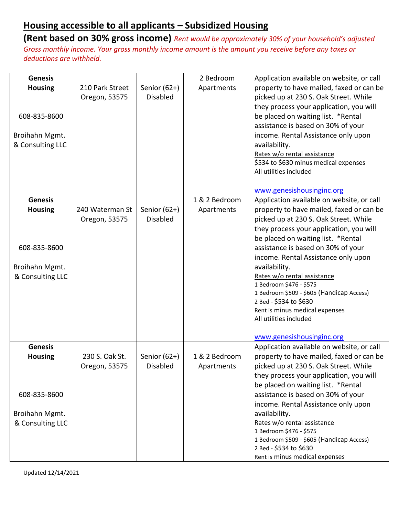| <b>Genesis</b><br><b>Housing</b><br>608-835-8600<br>Broihahn Mgmt.<br>& Consulting LLC | 210 Park Street<br>Oregon, 53575 | Senior (62+)<br><b>Disabled</b>   | 2 Bedroom<br>Apartments     | Application available on website, or call<br>property to have mailed, faxed or can be<br>picked up at 230 S. Oak Street. While<br>they process your application, you will<br>be placed on waiting list. *Rental<br>assistance is based on 30% of your<br>income. Rental Assistance only upon<br>availability.<br>Rates w/o rental assistance<br>\$534 to \$630 minus medical expenses<br>All utilities included<br>www.genesishousinginc.org                                               |
|----------------------------------------------------------------------------------------|----------------------------------|-----------------------------------|-----------------------------|--------------------------------------------------------------------------------------------------------------------------------------------------------------------------------------------------------------------------------------------------------------------------------------------------------------------------------------------------------------------------------------------------------------------------------------------------------------------------------------------|
| <b>Genesis</b>                                                                         |                                  |                                   | 1 & 2 Bedroom               | Application available on website, or call                                                                                                                                                                                                                                                                                                                                                                                                                                                  |
| <b>Housing</b><br>608-835-8600<br>Broihahn Mgmt.<br>& Consulting LLC                   | 240 Waterman St<br>Oregon, 53575 | Senior $(62+)$<br><b>Disabled</b> | Apartments                  | property to have mailed, faxed or can be<br>picked up at 230 S. Oak Street. While<br>they process your application, you will<br>be placed on waiting list. *Rental<br>assistance is based on 30% of your<br>income. Rental Assistance only upon<br>availability.<br>Rates w/o rental assistance<br>1 Bedroom \$476 - \$575<br>1 Bedroom \$509 - \$605 (Handicap Access)<br>2 Bed - \$534 to \$630<br>Rent is minus medical expenses<br>All utilities included<br>www.genesishousinginc.org |
| <b>Genesis</b>                                                                         |                                  |                                   |                             | Application available on website, or call                                                                                                                                                                                                                                                                                                                                                                                                                                                  |
| <b>Housing</b>                                                                         | 230 S. Oak St.<br>Oregon, 53575  | Senior $(62+)$<br><b>Disabled</b> | 1 & 2 Bedroom<br>Apartments | property to have mailed, faxed or can be<br>picked up at 230 S. Oak Street. While<br>they process your application, you will<br>be placed on waiting list. *Rental                                                                                                                                                                                                                                                                                                                         |
| 608-835-8600                                                                           |                                  |                                   |                             | assistance is based on 30% of your                                                                                                                                                                                                                                                                                                                                                                                                                                                         |
| Broihahn Mgmt.<br>& Consulting LLC                                                     |                                  |                                   |                             | income. Rental Assistance only upon<br>availability.<br>Rates w/o rental assistance<br>1 Bedroom \$476 - \$575<br>1 Bedroom \$509 - \$605 (Handicap Access)<br>2 Bed - \$534 to \$630                                                                                                                                                                                                                                                                                                      |
|                                                                                        |                                  |                                   |                             | Rent is minus medical expenses                                                                                                                                                                                                                                                                                                                                                                                                                                                             |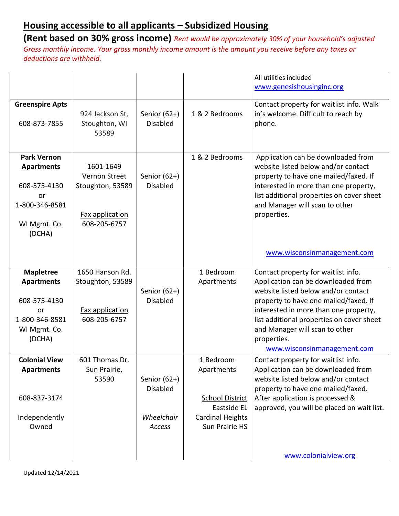|                                                                                                           |                                                                                   |                                                           |                                                                                                               | All utilities included                                                                                                                                                                                                                                                                                                          |
|-----------------------------------------------------------------------------------------------------------|-----------------------------------------------------------------------------------|-----------------------------------------------------------|---------------------------------------------------------------------------------------------------------------|---------------------------------------------------------------------------------------------------------------------------------------------------------------------------------------------------------------------------------------------------------------------------------------------------------------------------------|
|                                                                                                           |                                                                                   |                                                           |                                                                                                               | www.genesishousinginc.org                                                                                                                                                                                                                                                                                                       |
| <b>Greenspire Apts</b><br>608-873-7855                                                                    | 924 Jackson St,<br>Stoughton, WI<br>53589                                         | Senior $(62+)$<br><b>Disabled</b>                         | 1 & 2 Bedrooms                                                                                                | Contact property for waitlist info. Walk<br>in's welcome. Difficult to reach by<br>phone.                                                                                                                                                                                                                                       |
| <b>Park Vernon</b><br><b>Apartments</b><br>608-575-4130<br>or<br>1-800-346-8581<br>WI Mgmt. Co.<br>(DCHA) | 1601-1649<br>Vernon Street<br>Stoughton, 53589<br>Fax application<br>608-205-6757 | Senior $(62+)$<br><b>Disabled</b>                         | 1 & 2 Bedrooms                                                                                                | Application can be downloaded from<br>website listed below and/or contact<br>property to have one mailed/faxed. If<br>interested in more than one property,<br>list additional properties on cover sheet<br>and Manager will scan to other<br>properties.                                                                       |
|                                                                                                           |                                                                                   |                                                           |                                                                                                               | www.wisconsinmanagement.com                                                                                                                                                                                                                                                                                                     |
| <b>Mapletree</b><br><b>Apartments</b><br>608-575-4130<br>or<br>1-800-346-8581<br>WI Mgmt. Co.<br>(DCHA)   | 1650 Hanson Rd.<br>Stoughton, 53589<br>Fax application<br>608-205-6757            | Senior (62+)<br><b>Disabled</b>                           | 1 Bedroom<br>Apartments                                                                                       | Contact property for waitlist info.<br>Application can be downloaded from<br>website listed below and/or contact<br>property to have one mailed/faxed. If<br>interested in more than one property,<br>list additional properties on cover sheet<br>and Manager will scan to other<br>properties.<br>www.wisconsinmanagement.com |
| <b>Colonial View</b><br><b>Apartments</b><br>608-837-3174<br>Independently<br>Owned                       | 601 Thomas Dr.<br>Sun Prairie,<br>53590                                           | Senior $(62+)$<br><b>Disabled</b><br>Wheelchair<br>Access | 1 Bedroom<br>Apartments<br><b>School District</b><br>Eastside EL<br><b>Cardinal Heights</b><br>Sun Prairie HS | Contact property for waitlist info.<br>Application can be downloaded from<br>website listed below and/or contact<br>property to have one mailed/faxed.<br>After application is processed &<br>approved, you will be placed on wait list.                                                                                        |
|                                                                                                           |                                                                                   |                                                           |                                                                                                               | www.colonialview.org                                                                                                                                                                                                                                                                                                            |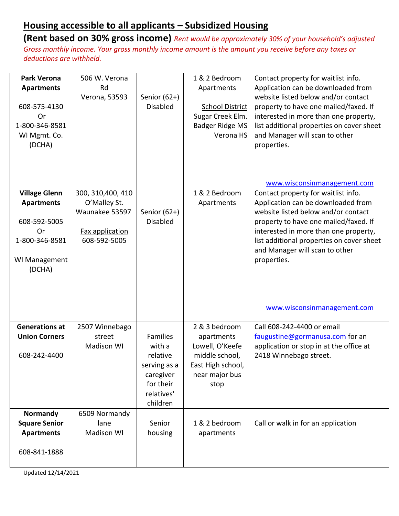**(Rent based on 30% gross income)** *Rent would be approximately 30% of your household's adjusted Gross monthly income. Your gross monthly income amount is the amount you receive before any taxes or deductions are withheld.*

| <b>Park Verona</b><br><b>Apartments</b><br>608-575-4130<br>Or<br>1-800-346-8581<br>WI Mgmt. Co.<br>(DCHA) | 506 W. Verona<br>Rd<br>Verona, 53593                              | Senior $(62+)$<br><b>Disabled</b>                                            | 1 & 2 Bedroom<br>Apartments<br><b>School District</b><br>Sugar Creek Elm.<br><b>Badger Ridge MS</b><br>Verona HS | Contact property for waitlist info.<br>Application can be downloaded from<br>website listed below and/or contact<br>property to have one mailed/faxed. If<br>interested in more than one property,<br>list additional properties on cover sheet<br>and Manager will scan to other<br>properties. |
|-----------------------------------------------------------------------------------------------------------|-------------------------------------------------------------------|------------------------------------------------------------------------------|------------------------------------------------------------------------------------------------------------------|--------------------------------------------------------------------------------------------------------------------------------------------------------------------------------------------------------------------------------------------------------------------------------------------------|
| <b>Village Glenn</b>                                                                                      | 300, 310, 400, 410                                                |                                                                              | 1 & 2 Bedroom                                                                                                    | www.wisconsinmanagement.com<br>Contact property for waitlist info.                                                                                                                                                                                                                               |
| <b>Apartments</b><br>608-592-5005<br>Or<br>1-800-346-8581<br>WI Management<br>(DCHA)                      | O'Malley St.<br>Waunakee 53597<br>Fax application<br>608-592-5005 | Senior $(62+)$<br><b>Disabled</b>                                            | Apartments                                                                                                       | Application can be downloaded from<br>website listed below and/or contact<br>property to have one mailed/faxed. If<br>interested in more than one property,<br>list additional properties on cover sheet<br>and Manager will scan to other<br>properties.<br>www.wisconsinmanagement.com         |
| <b>Generations at</b><br><b>Union Corners</b>                                                             | 2507 Winnebago<br>street<br><b>Madison WI</b>                     | <b>Families</b><br>with a                                                    | 2 & 3 bedroom<br>apartments<br>Lowell, O'Keefe                                                                   | Call 608-242-4400 or email<br>faugustine@gormanusa.com for an<br>application or stop in at the office at                                                                                                                                                                                         |
| 608-242-4400                                                                                              |                                                                   | relative<br>serving as a<br>caregiver<br>for their<br>relatives'<br>children | middle school,<br>East High school,<br>near major bus<br>stop                                                    | 2418 Winnebago street.                                                                                                                                                                                                                                                                           |
| Normandy<br><b>Square Senior</b><br><b>Apartments</b>                                                     | 6509 Normandy<br>lane<br><b>Madison WI</b>                        | Senior<br>housing                                                            | 1 & 2 bedroom<br>apartments                                                                                      | Call or walk in for an application                                                                                                                                                                                                                                                               |
| 608-841-1888                                                                                              |                                                                   |                                                                              |                                                                                                                  |                                                                                                                                                                                                                                                                                                  |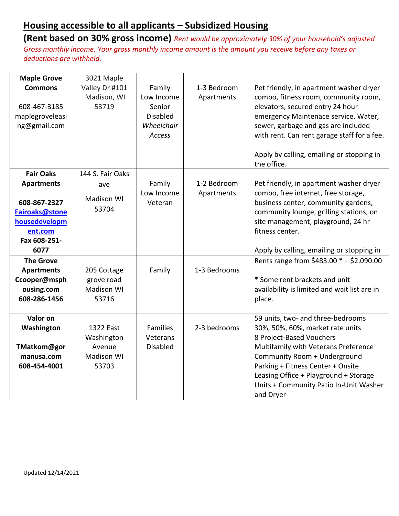| <b>Maple Grove</b><br><b>Commons</b><br>608-467-3185<br>maplegroveleasi<br>ng@gmail.com | 3021 Maple<br>Valley Dr #101<br>Madison, WI<br>53719            | Family<br>Low Income<br>Senior<br><b>Disabled</b><br>Wheelchair<br>Access | 1-3 Bedroom<br>Apartments | Pet friendly, in apartment washer dryer<br>combo, fitness room, community room,<br>elevators, secured entry 24 hour<br>emergency Maintenace service. Water,<br>sewer, garbage and gas are included<br>with rent. Can rent garage staff for a fee.<br>Apply by calling, emailing or stopping in<br>the office.  |
|-----------------------------------------------------------------------------------------|-----------------------------------------------------------------|---------------------------------------------------------------------------|---------------------------|----------------------------------------------------------------------------------------------------------------------------------------------------------------------------------------------------------------------------------------------------------------------------------------------------------------|
| <b>Fair Oaks</b>                                                                        | 144 S. Fair Oaks                                                |                                                                           |                           |                                                                                                                                                                                                                                                                                                                |
| <b>Apartments</b>                                                                       | ave                                                             | Family                                                                    | 1-2 Bedroom               | Pet friendly, in apartment washer dryer                                                                                                                                                                                                                                                                        |
| 608-867-2327<br>Fairoaks@stone<br>housedevelopm<br>ent.com<br>Fax 608-251-              | <b>Madison WI</b><br>53704                                      | Low Income<br>Veteran                                                     | Apartments                | combo, free internet, free storage,<br>business center, community gardens,<br>community lounge, grilling stations, on<br>site management, playground, 24 hr<br>fitness center.                                                                                                                                 |
| 6077                                                                                    |                                                                 |                                                                           |                           | Apply by calling, emailing or stopping in                                                                                                                                                                                                                                                                      |
| <b>The Grove</b><br><b>Apartments</b><br>Ccooper@msph<br>ousing.com<br>608-286-1456     | 205 Cottage<br>grove road<br><b>Madison WI</b><br>53716         | Family                                                                    | 1-3 Bedrooms              | Rents range from $$483.00 * - $2.090.00$<br>* Some rent brackets and unit<br>availability is limited and wait list are in<br>place.                                                                                                                                                                            |
| Valor on<br>Washington<br>TMatkom@gor<br>manusa.com<br>608-454-4001                     | 1322 East<br>Washington<br>Avenue<br><b>Madison WI</b><br>53703 | <b>Families</b><br>Veterans<br><b>Disabled</b>                            | 2-3 bedrooms              | 59 units, two- and three-bedrooms<br>30%, 50%, 60%, market rate units<br>8 Project-Based Vouchers<br>Multifamily with Veterans Preference<br>Community Room + Underground<br>Parking + Fitness Center + Onsite<br>Leasing Office + Playground + Storage<br>Units + Community Patio In-Unit Washer<br>and Dryer |